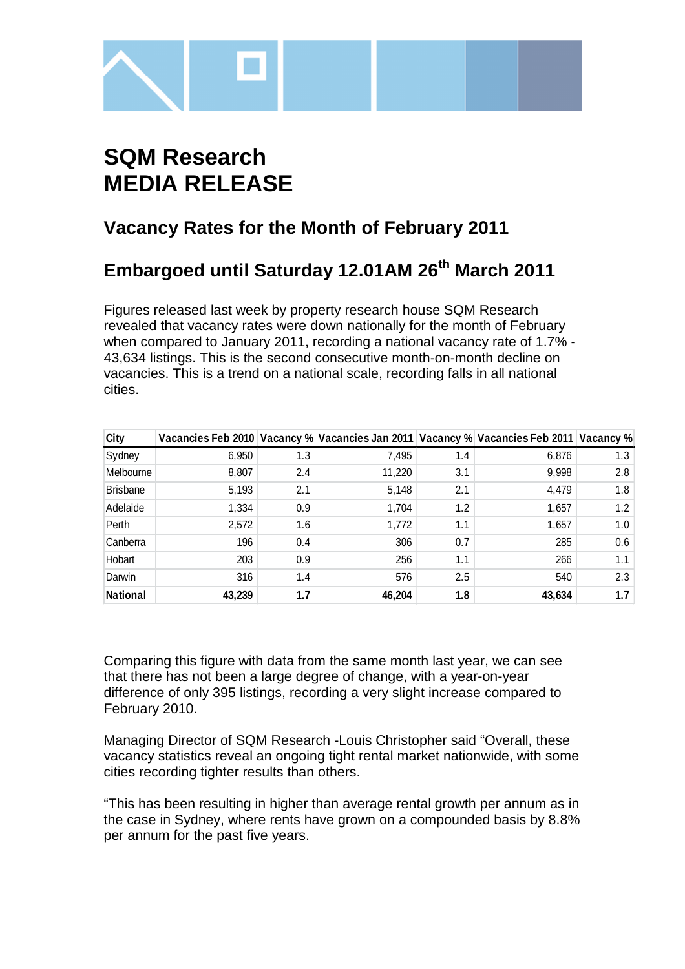

# **SQM Research MEDIA RELEASE**

### **Vacancy Rates for the Month of February 2011**

## **Embargoed until Saturday 12.01AM 26th March 2011**

Figures released last week by property research house SQM Research revealed that vacancy rates were down nationally for the month of February when compared to January 2011, recording a national vacancy rate of 1.7% - 43,634 listings. This is the second consecutive month-on-month decline on vacancies. This is a trend on a national scale, recording falls in all national cities.

| City            |        |     |        |     | Vacancies Feb 2010 Vacancy % Vacancies Jan 2011 Vacancy % Vacancies Feb 2011 Vacancy % |               |
|-----------------|--------|-----|--------|-----|----------------------------------------------------------------------------------------|---------------|
| Sydney          | 6,950  | 1.3 | 7,495  | 1.4 | 6,876                                                                                  | 1.3           |
| Melbourne       | 8,807  | 2.4 | 11,220 | 3.1 | 9,998                                                                                  | 2.8           |
| <b>Brisbane</b> | 5,193  | 2.1 | 5,148  | 2.1 | 4,479                                                                                  | 1.8           |
| Adelaide        | 1,334  | 0.9 | 1,704  | 1.2 | 1,657                                                                                  | $1.2^{\circ}$ |
| Perth           | 2,572  | 1.6 | 1,772  | 1.1 | 1,657                                                                                  | 1.0           |
| Canberra        | 196    | 0.4 | 306    | 0.7 | 285                                                                                    | 0.6           |
| Hobart          | 203    | 0.9 | 256    | 1.1 | 266                                                                                    | 1.1           |
| Darwin          | 316    | 1.4 | 576    | 2.5 | 540                                                                                    | 2.3           |
| <b>National</b> | 43.239 | 1.7 | 46.204 | 1.8 | 43.634                                                                                 | 1.7           |

Comparing this figure with data from the same month last year, we can see that there has not been a large degree of change, with a year-on-year difference of only 395 listings, recording a very slight increase compared to February 2010.

Managing Director of SQM Research -Louis Christopher said "Overall, these vacancy statistics reveal an ongoing tight rental market nationwide, with some cities recording tighter results than others.

"This has been resulting in higher than average rental growth per annum as in the case in Sydney, where rents have grown on a compounded basis by 8.8% per annum for the past five years.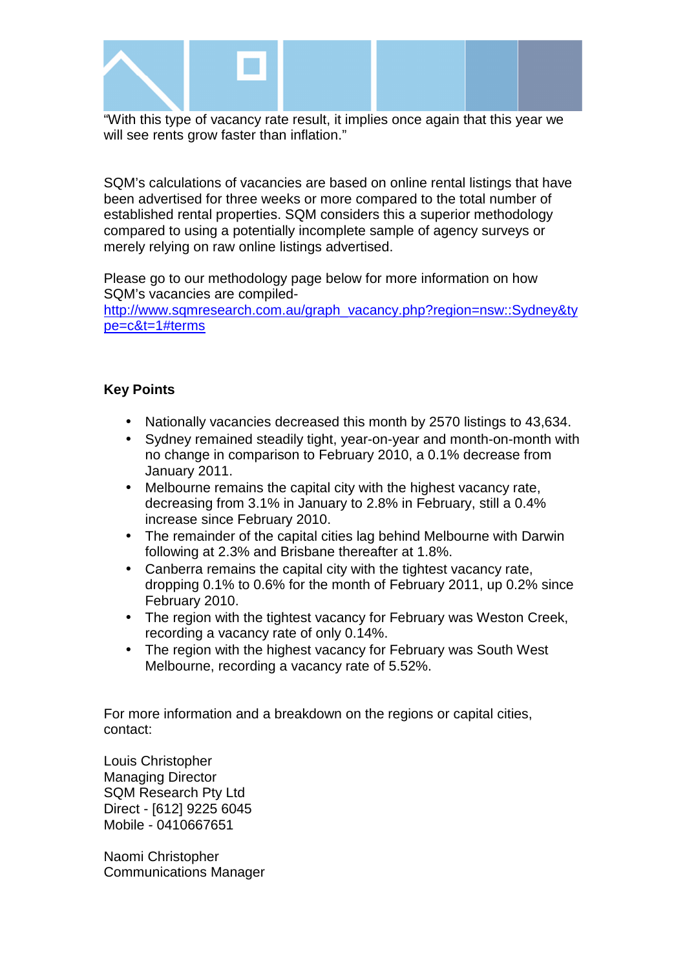

"With this type of vacancy rate result, it implies once again that this year we will see rents grow faster than inflation."

SQM's calculations of vacancies are based on online rental listings that have been advertised for three weeks or more compared to the total number of established rental properties. SQM considers this a superior methodology compared to using a potentially incomplete sample of agency surveys or merely relying on raw online listings advertised.

Please go to our methodology page below for more information on how SQM's vacancies are compiled-

http://www.sqmresearch.com.au/graph\_vacancy.php?region=nsw::Sydney&ty pe=c&t=1#terms

#### **Key Points**

- Nationally vacancies decreased this month by 2570 listings to 43,634.
- Sydney remained steadily tight, year-on-year and month-on-month with no change in comparison to February 2010, a 0.1% decrease from January 2011.
- Melbourne remains the capital city with the highest vacancy rate, decreasing from 3.1% in January to 2.8% in February, still a 0.4% increase since February 2010.
- The remainder of the capital cities lag behind Melbourne with Darwin following at 2.3% and Brisbane thereafter at 1.8%.
- Canberra remains the capital city with the tightest vacancy rate, dropping 0.1% to 0.6% for the month of February 2011, up 0.2% since February 2010.
- The region with the tightest vacancy for February was Weston Creek, recording a vacancy rate of only 0.14%.
- The region with the highest vacancy for February was South West Melbourne, recording a vacancy rate of 5.52%.

For more information and a breakdown on the regions or capital cities, contact:

Louis Christopher Managing Director SQM Research Pty Ltd Direct - [612] 9225 6045 Mobile - 0410667651

Naomi Christopher Communications Manager